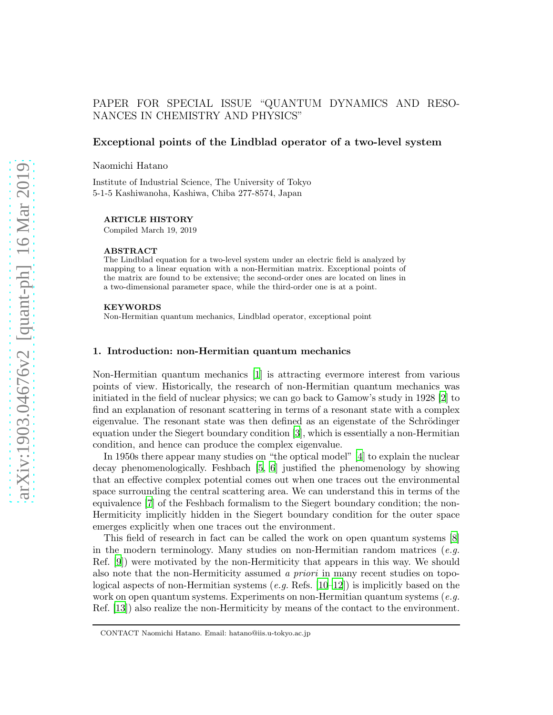# PAPER FOR SPECIAL ISSUE "QUANTUM DYNAMICS AND RESO-NANCES IN CHEMISTRY AND PHYSICS"

## Exceptional points of the Lindblad operator of a two-level system

Naomichi Hatano

Institute of Industrial Science, The University of Tokyo 5-1-5 Kashiwanoha, Kashiwa, Chiba 277-8574, Japan

#### ARTICLE HISTORY

Compiled March 19, 2019

#### ABSTRACT

The Lindblad equation for a two-level system under an electric field is analyzed by mapping to a linear equation with a non-Hermitian matrix. Exceptional points of the matrix are found to be extensive; the second-order ones are located on lines in a two-dimensional parameter space, while the third-order one is at a point.

#### **KEYWORDS**

Non-Hermitian quantum mechanics, Lindblad operator, exceptional point

### <span id="page-0-0"></span>1. Introduction: non-Hermitian quantum mechanics

Non-Hermitian quantum mechanics [\[1\]](#page-9-0) is attracting evermore interest from various points of view. Historically, the research of non-Hermitian quantum mechanics was initiated in the field of nuclear physics; we can go back to Gamow's study in 1928 [\[2\]](#page-9-1) to find an explanation of resonant scattering in terms of a resonant state with a complex eigenvalue. The resonant state was then defined as an eigenstate of the Schrödinger equation under the Siegert boundary condition [\[3](#page-9-2)], which is essentially a non-Hermitian condition, and hence can produce the complex eigenvalue.

In 1950s there appear many studies on "the optical model" [\[4\]](#page-9-3) to explain the nuclear decay phenomenologically. Feshbach [\[5](#page-9-4), [6\]](#page-9-5) justified the phenomenology by showing that an effective complex potential comes out when one traces out the environmental space surrounding the central scattering area. We can understand this in terms of the equivalence [\[7](#page-9-6)] of the Feshbach formalism to the Siegert boundary condition; the non-Hermiticity implicitly hidden in the Siegert boundary condition for the outer space emerges explicitly when one traces out the environment.

This field of research in fact can be called the work on open quantum systems [\[8](#page-9-7)] in the modern terminology. Many studies on non-Hermitian random matrices  $(e.g.$ Ref. [\[9](#page-9-8)]) were motivated by the non-Hermiticity that appears in this way. We should also note that the non-Hermiticity assumed a priori in many recent studies on topological aspects of non-Hermitian systems (e.g. Refs.  $[10-12]$ ) is implicitly based on the work on open quantum systems. Experiments on non-Hermitian quantum systems  $(e.g.$ Ref. [\[13\]](#page-9-11)) also realize the non-Hermiticity by means of the contact to the environment.

CONTACT Naomichi Hatano. Email: hatano@iis.u-tokyo.ac.jp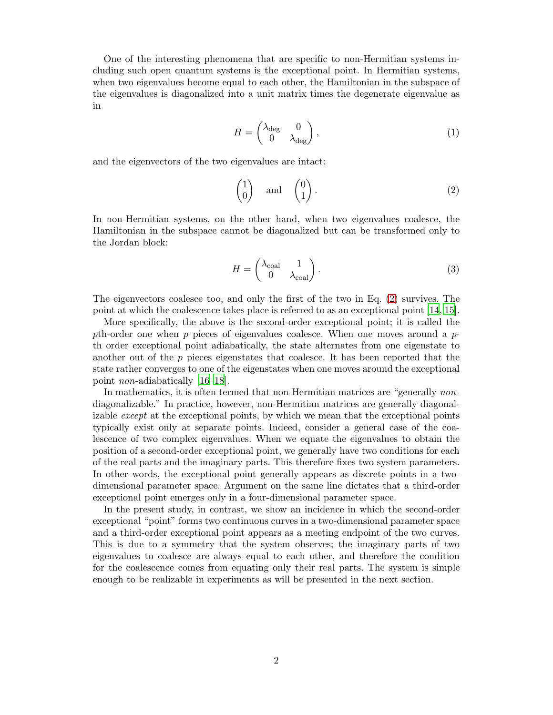One of the interesting phenomena that are specific to non-Hermitian systems including such open quantum systems is the exceptional point. In Hermitian systems, when two eigenvalues become equal to each other, the Hamiltonian in the subspace of the eigenvalues is diagonalized into a unit matrix times the degenerate eigenvalue as in

$$
H = \begin{pmatrix} \lambda_{\text{deg}} & 0\\ 0 & \lambda_{\text{deg}} \end{pmatrix},\tag{1}
$$

and the eigenvectors of the two eigenvalues are intact:

<span id="page-1-0"></span>
$$
\begin{pmatrix} 1 \\ 0 \end{pmatrix} \quad \text{and} \quad \begin{pmatrix} 0 \\ 1 \end{pmatrix}.
$$
 (2)

In non-Hermitian systems, on the other hand, when two eigenvalues coalesce, the Hamiltonian in the subspace cannot be diagonalized but can be transformed only to the Jordan block:

$$
H = \begin{pmatrix} \lambda_{\text{coal}} & 1\\ 0 & \lambda_{\text{coal}} \end{pmatrix} . \tag{3}
$$

The eigenvectors coalesce too, and only the first of the two in Eq. [\(2\)](#page-1-0) survives. The point at which the coalescence takes place is referred to as an exceptional point [\[14](#page-9-12), [15](#page-9-13)].

More specifically, the above is the second-order exceptional point; it is called the pth-order one when  $p$  pieces of eigenvalues coalesce. When one moves around a  $p$ th order exceptional point adiabatically, the state alternates from one eigenstate to another out of the  $p$  pieces eigenstates that coalesce. It has been reported that the state rather converges to one of the eigenstates when one moves around the exceptional point non-adiabatically [\[16](#page-9-14)[–18](#page-9-15)].

In mathematics, it is often termed that non-Hermitian matrices are "generally nondiagonalizable." In practice, however, non-Hermitian matrices are generally diagonalizable except at the exceptional points, by which we mean that the exceptional points typically exist only at separate points. Indeed, consider a general case of the coalescence of two complex eigenvalues. When we equate the eigenvalues to obtain the position of a second-order exceptional point, we generally have two conditions for each of the real parts and the imaginary parts. This therefore fixes two system parameters. In other words, the exceptional point generally appears as discrete points in a twodimensional parameter space. Argument on the same line dictates that a third-order exceptional point emerges only in a four-dimensional parameter space.

In the present study, in contrast, we show an incidence in which the second-order exceptional "point" forms two continuous curves in a two-dimensional parameter space and a third-order exceptional point appears as a meeting endpoint of the two curves. This is due to a symmetry that the system observes; the imaginary parts of two eigenvalues to coalesce are always equal to each other, and therefore the condition for the coalescence comes from equating only their real parts. The system is simple enough to be realizable in experiments as will be presented in the next section.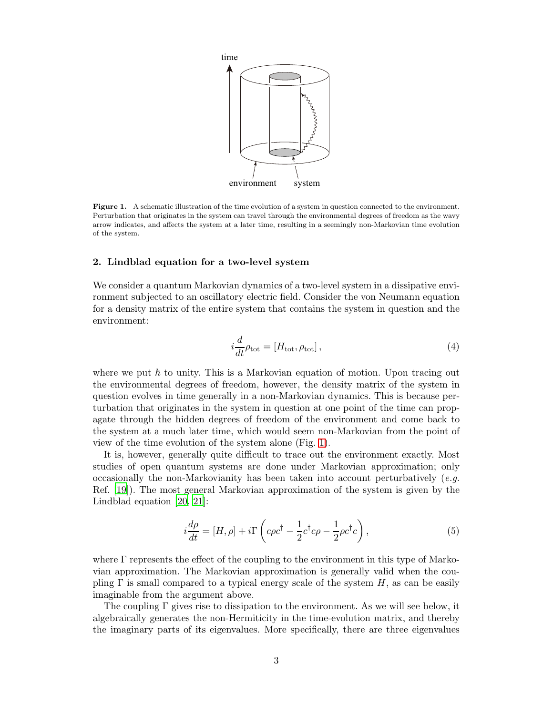

<span id="page-2-0"></span>Figure 1. A schematic illustration of the time evolution of a system in question connected to the environment. Perturbation that originates in the system can travel through the environmental degrees of freedom as the wavy arrow indicates, and affects the system at a later time, resulting in a seemingly non-Markovian time evolution of the system.

## 2. Lindblad equation for a two-level system

We consider a quantum Markovian dynamics of a two-level system in a dissipative environment subjected to an oscillatory electric field. Consider the von Neumann equation for a density matrix of the entire system that contains the system in question and the environment:

$$
i\frac{d}{dt}\rho_{\text{tot}} = [H_{\text{tot}}, \rho_{\text{tot}}],\tag{4}
$$

where we put  $\hbar$  to unity. This is a Markovian equation of motion. Upon tracing out the environmental degrees of freedom, however, the density matrix of the system in question evolves in time generally in a non-Markovian dynamics. This is because perturbation that originates in the system in question at one point of the time can propagate through the hidden degrees of freedom of the environment and come back to the system at a much later time, which would seem non-Markovian from the point of view of the time evolution of the system alone (Fig. [1\)](#page-2-0).

It is, however, generally quite difficult to trace out the environment exactly. Most studies of open quantum systems are done under Markovian approximation; only occasionally the non-Markovianity has been taken into account perturbatively  $(e.g.$ Ref. [\[19\]](#page-9-16)). The most general Markovian approximation of the system is given by the Lindblad equation [\[20](#page-9-17), [21](#page-9-18)]:

<span id="page-2-1"></span>
$$
i\frac{d\rho}{dt} = [H,\rho] + i\Gamma \left( c\rho c^{\dagger} - \frac{1}{2}c^{\dagger}c\rho - \frac{1}{2}\rho c^{\dagger}c \right),\tag{5}
$$

where  $\Gamma$  represents the effect of the coupling to the environment in this type of Markovian approximation. The Markovian approximation is generally valid when the coupling  $\Gamma$  is small compared to a typical energy scale of the system H, as can be easily imaginable from the argument above.

The coupling  $\Gamma$  gives rise to dissipation to the environment. As we will see below, it algebraically generates the non-Hermiticity in the time-evolution matrix, and thereby the imaginary parts of its eigenvalues. More specifically, there are three eigenvalues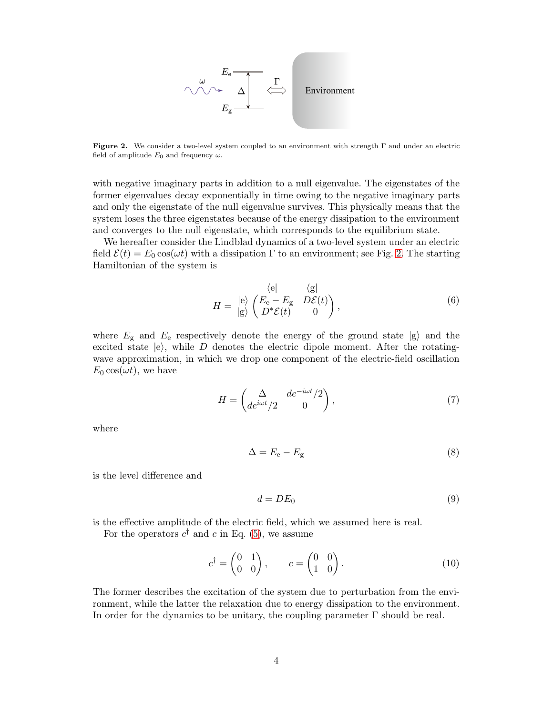

<span id="page-3-0"></span>Figure 2. We consider a two-level system coupled to an environment with strength Γ and under an electric field of amplitude  $E_0$  and frequency  $\omega$ .

with negative imaginary parts in addition to a null eigenvalue. The eigenstates of the former eigenvalues decay exponentially in time owing to the negative imaginary parts and only the eigenstate of the null eigenvalue survives. This physically means that the system loses the three eigenstates because of the energy dissipation to the environment and converges to the null eigenstate, which corresponds to the equilibrium state.

We hereafter consider the Lindblad dynamics of a two-level system under an electric field  $\mathcal{E}(t) = E_0 \cos(\omega t)$  with a dissipation  $\Gamma$  to an environment; see Fig. [2.](#page-3-0) The starting Hamiltonian of the system is

$$
H = \begin{array}{c} \langle e | & \langle g | \\ \langle e \rangle & \langle E_e - E_g & D\mathcal{E}(t) \\ \langle g \rangle & D^* \mathcal{E}(t) & 0 \end{array}, \tag{6}
$$

where  $E_{\rm g}$  and  $E_{\rm e}$  respectively denote the energy of the ground state  $|{\rm g}\rangle$  and the excited state  $|e\rangle$ , while D denotes the electric dipole moment. After the rotatingwave approximation, in which we drop one component of the electric-field oscillation  $E_0 \cos(\omega t)$ , we have

$$
H = \begin{pmatrix} \Delta & de^{-i\omega t}/2 \\ de^{i\omega t}/2 & 0 \end{pmatrix},\tag{7}
$$

where

<span id="page-3-1"></span>
$$
\Delta = E_{\rm e} - E_{\rm g} \tag{8}
$$

is the level difference and

<span id="page-3-2"></span>
$$
d = DE_0 \tag{9}
$$

is the effective amplitude of the electric field, which we assumed here is real. For the operators  $c^{\dagger}$  and c in Eq. [\(5\)](#page-2-1), we assume

$$
c^{\dagger} = \begin{pmatrix} 0 & 1 \\ 0 & 0 \end{pmatrix}, \qquad c = \begin{pmatrix} 0 & 0 \\ 1 & 0 \end{pmatrix}.
$$
 (10)

The former describes the excitation of the system due to perturbation from the environment, while the latter the relaxation due to energy dissipation to the environment. In order for the dynamics to be unitary, the coupling parameter  $\Gamma$  should be real.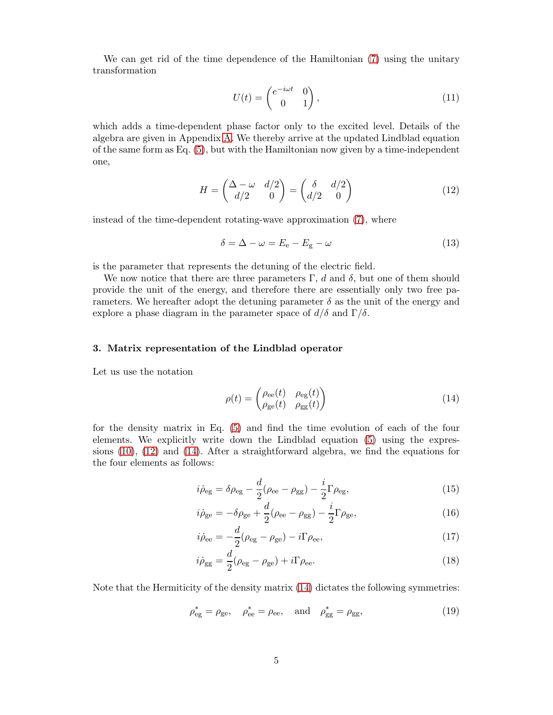We can get rid of the time dependence of the Hamiltonian [\(7\)](#page-3-1) using the unitary transformation

<span id="page-4-0"></span>
$$
U(t) = \begin{pmatrix} e^{-i\omega t} & 0\\ 0 & 1 \end{pmatrix},\tag{11}
$$

which adds a time-dependent phase factor only to the excited level. Details of the algebra are given in Appendix [A.](#page-10-0) We thereby arrive at the updated Lindblad equation of the same form as Eq.  $(5)$ , but with the Hamiltonian now given by a time-independent one,

$$
H = \begin{pmatrix} \Delta - \omega & d/2 \\ d/2 & 0 \end{pmatrix} = \begin{pmatrix} \delta & d/2 \\ d/2 & 0 \end{pmatrix}
$$
 (12)

instead of the time-dependent rotating-wave approximation [\(7\)](#page-3-1), where

$$
\delta = \Delta - \omega = E_{\rm e} - E_{\rm g} - \omega \tag{13}
$$

is the parameter that represents the detuning of the electric field.

We now notice that there are three parameters  $\Gamma$ , d and  $\delta$ , but one of them should provide the unit of the energy, and therefore there are essentially only two free parameters. We hereafter adopt the detuning parameter  $\delta$  as the unit of the energy and explore a phase diagram in the parameter space of  $d/\delta$  and  $\Gamma/\delta$ .

## 3. Matrix representation of the Lindblad operator

Let us use the notation

<span id="page-4-2"></span><span id="page-4-1"></span>
$$
\rho(t) = \begin{pmatrix} \rho_{ee}(t) & \rho_{eg}(t) \\ \rho_{ge}(t) & \rho_{gg}(t) \end{pmatrix}
$$
\n(14)

for the density matrix in Eq. [\(5\)](#page-2-1) and find the time evolution of each of the four elements. We explicitly write down the Lindblad equation [\(5\)](#page-2-1) using the expressions [\(10\)](#page-3-2), [\(12\)](#page-4-0) and [\(14\)](#page-4-1). After a straightforward algebra, we find the equations for the four elements as follows:

$$
i\dot{\rho}_{eg} = \delta\rho_{eg} - \frac{d}{2}(\rho_{ee} - \rho_{gg}) - \frac{i}{2}\Gamma\rho_{eg},\tag{15}
$$

$$
i\dot{\rho}_{ge} = -\delta\rho_{ge} + \frac{d}{2}(\rho_{ee} - \rho_{gg}) - \frac{i}{2}\Gamma\rho_{ge},\tag{16}
$$

$$
i\dot{\rho}_{ee} = -\frac{d}{2}(\rho_{eg} - \rho_{ge}) - i\Gamma \rho_{ee},\tag{17}
$$

<span id="page-4-3"></span>
$$
i\dot{\rho}_{gg} = \frac{d}{2}(\rho_{eg} - \rho_{ge}) + i\Gamma\rho_{ee}.
$$
\n(18)

Note that the Hermiticity of the density matrix  $(14)$  dictates the following symmetries:

$$
\rho_{eg}^* = \rho_{ge}, \quad \rho_{ee}^* = \rho_{ee}, \quad \text{and} \quad \rho_{gg}^* = \rho_{gg}, \tag{19}
$$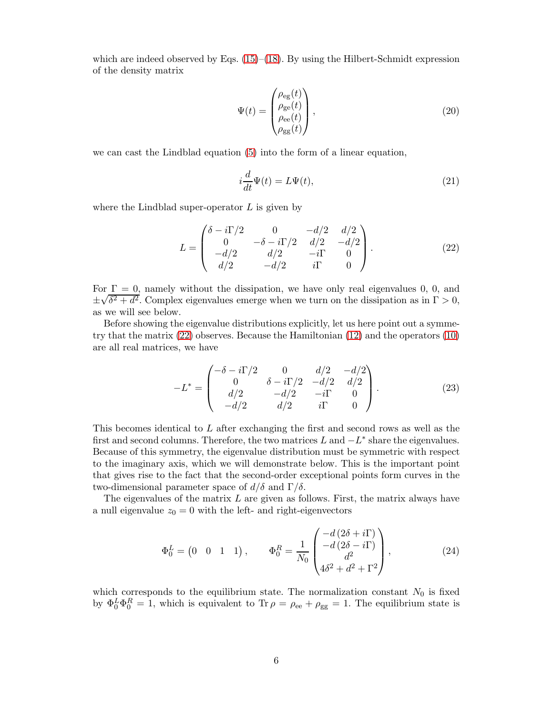which are indeed observed by Eqs.  $(15)$ – $(18)$ . By using the Hilbert-Schmidt expression of the density matrix

$$
\Psi(t) = \begin{pmatrix} \rho_{eg}(t) \\ \rho_{ge}(t) \\ \rho_{ee}(t) \\ \rho_{gg}(t) \end{pmatrix},
$$
\n(20)

we can cast the Lindblad equation [\(5\)](#page-2-1) into the form of a linear equation,

<span id="page-5-0"></span>
$$
i\frac{d}{dt}\Psi(t) = L\Psi(t),\tag{21}
$$

where the Lindblad super-operator  $L$  is given by

$$
L = \begin{pmatrix} \delta - i\Gamma/2 & 0 & -d/2 & d/2 \\ 0 & -\delta - i\Gamma/2 & d/2 & -d/2 \\ -d/2 & d/2 & -i\Gamma & 0 \\ d/2 & -d/2 & i\Gamma & 0 \end{pmatrix}.
$$
 (22)

For  $\Gamma = 0$ , namely without the dissipation, we have only real eigenvalues 0, 0, and ±  $\sqrt{\delta^2 + d^2}$ . Complex eigenvalues emerge when we turn on the dissipation as in  $\Gamma > 0$ , as we will see below.

Before showing the eigenvalue distributions explicitly, let us here point out a symmetry that the matrix [\(22\)](#page-5-0) observes. Because the Hamiltonian [\(12\)](#page-4-0) and the operators [\(10\)](#page-3-2) are all real matrices, we have

$$
-L^* = \begin{pmatrix} -\delta - i\Gamma/2 & 0 & d/2 & -d/2 \\ 0 & \delta - i\Gamma/2 & -d/2 & d/2 \\ d/2 & -d/2 & -i\Gamma & 0 \\ -d/2 & d/2 & i\Gamma & 0 \end{pmatrix}.
$$
 (23)

This becomes identical to L after exchanging the first and second rows as well as the first and second columns. Therefore, the two matrices  $L$  and  $-L^*$  share the eigenvalues. Because of this symmetry, the eigenvalue distribution must be symmetric with respect to the imaginary axis, which we will demonstrate below. This is the important point that gives rise to the fact that the second-order exceptional points form curves in the two-dimensional parameter space of  $d/δ$  and Γ/δ.

The eigenvalues of the matrix  $L$  are given as follows. First, the matrix always have a null eigenvalue  $z_0 = 0$  with the left- and right-eigenvectors

$$
\Phi_0^L = \begin{pmatrix} 0 & 0 & 1 & 1 \end{pmatrix}, \qquad \Phi_0^R = \frac{1}{N_0} \begin{pmatrix} -d(2\delta + i\Gamma) \\ -d(2\delta - i\Gamma) \\ d^2 \\ 4\delta^2 + d^2 + \Gamma^2 \end{pmatrix}, \tag{24}
$$

which corresponds to the equilibrium state. The normalization constant  $N_0$  is fixed by  $\Phi_0^L \Phi_0^R = 1$ , which is equivalent to Tr  $\rho = \rho_{ee} + \rho_{gg} = 1$ . The equilibrium state is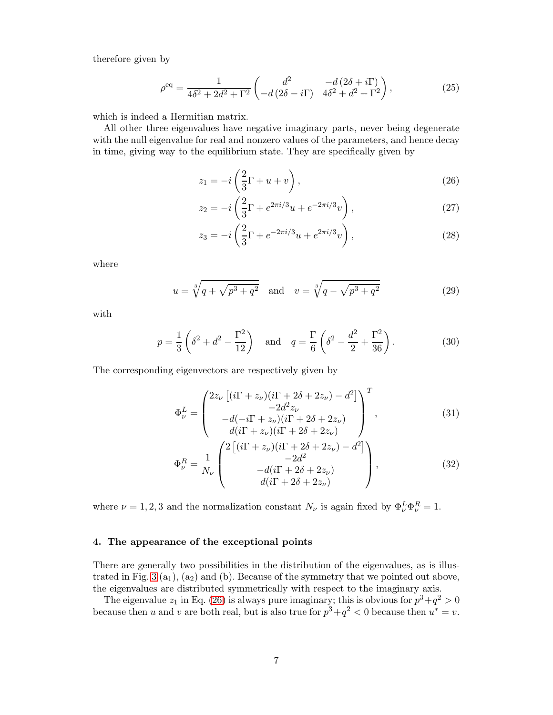therefore given by

$$
\rho^{\text{eq}} = \frac{1}{4\delta^2 + 2d^2 + \Gamma^2} \begin{pmatrix} d^2 & -d(2\delta + i\Gamma) \\ -d(2\delta - i\Gamma) & 4\delta^2 + d^2 + \Gamma^2 \end{pmatrix},
$$
(25)

which is indeed a Hermitian matrix.

All other three eigenvalues have negative imaginary parts, never being degenerate with the null eigenvalue for real and nonzero values of the parameters, and hence decay in time, giving way to the equilibrium state. They are specifically given by

$$
z_1 = -i\left(\frac{2}{3}\Gamma + u + v\right),\tag{26}
$$

$$
z_2 = -i\left(\frac{2}{3}\Gamma + e^{2\pi i/3}u + e^{-2\pi i/3}v\right),\tag{27}
$$

$$
z_3 = -i\left(\frac{2}{3}\Gamma + e^{-2\pi i/3}u + e^{2\pi i/3}v\right),\tag{28}
$$

where

$$
u = \sqrt[3]{q + \sqrt{p^3 + q^2}} \quad \text{and} \quad v = \sqrt[3]{q - \sqrt{p^3 + q^2}} \tag{29}
$$

with

$$
p = \frac{1}{3} \left( \delta^2 + d^2 - \frac{\Gamma^2}{12} \right) \quad \text{and} \quad q = \frac{\Gamma}{6} \left( \delta^2 - \frac{d^2}{2} + \frac{\Gamma^2}{36} \right). \tag{30}
$$

The corresponding eigenvectors are respectively given by

$$
\Phi_{\nu}^{L} = \begin{pmatrix} 2z_{\nu} \left[ (i\Gamma + z_{\nu})(i\Gamma + 2\delta + 2z_{\nu}) - d^{2} \right] \\ -2d^{2}z_{\nu} \\ -d(-i\Gamma + z_{\nu})(i\Gamma + 2\delta + 2z_{\nu}) \\ d(i\Gamma + z_{\nu})(i\Gamma + 2\delta + 2z_{\nu}) \end{pmatrix}^{T},
$$
\n(31)

<span id="page-6-2"></span><span id="page-6-1"></span><span id="page-6-0"></span> $\sim$ 

$$
\Phi_{\nu}^{R} = \frac{1}{N_{\nu}} \begin{pmatrix} 2\left[ (i\Gamma + z_{\nu})(i\Gamma + 2\delta + 2z_{\nu}) - d^{2} \right] \\ -2d^{2} \\ -d(i\Gamma + 2\delta + 2z_{\nu}) \\ d(i\Gamma + 2\delta + 2z_{\nu}) \end{pmatrix},
$$
\n(32)

where  $\nu = 1, 2, 3$  and the normalization constant  $N_{\nu}$  is again fixed by  $\Phi_{\nu}^{L} \Phi_{\nu}^{R} = 1$ .

## 4. The appearance of the exceptional points

There are generally two possibilities in the distribution of the eigenvalues, as is illus-trated in Fig. [3](#page-7-0) ( $a_1$ ), ( $a_2$ ) and (b). Because of the symmetry that we pointed out above, the eigenvalues are distributed symmetrically with respect to the imaginary axis.

The eigenvalue  $z_1$  in Eq. [\(26\)](#page-6-0) is always pure imaginary; this is obvious for  $p^3 + q^2 > 0$ because then u and v are both real, but is also true for  $p^3 + q^2 < 0$  because then  $u^* = v$ .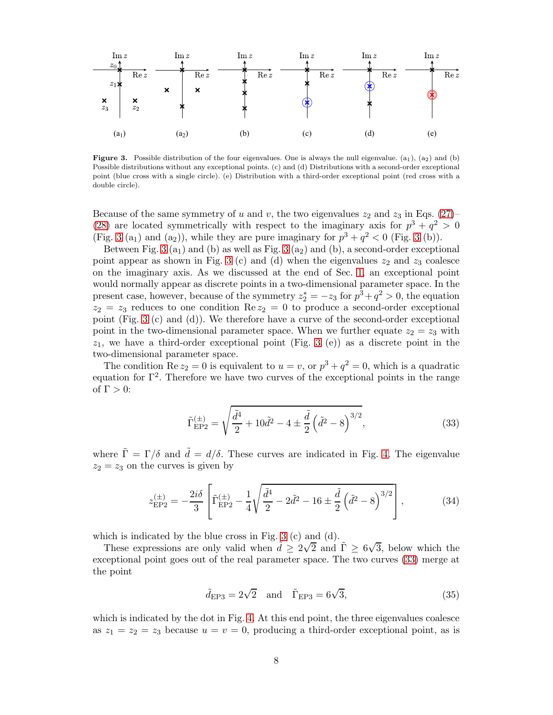

<span id="page-7-0"></span>**Figure 3.** Possible distribution of the four eigenvalues. One is always the null eigenvalue.  $(a_1)$ ,  $(a_2)$  and (b) Possible distributions without any exceptional points. (c) and (d) Distributions with a second-order exceptional point (blue cross with a single circle). (e) Distribution with a third-order exceptional point (red cross with a double circle).

Because of the same symmetry of u and v, the two eigenvalues  $z_2$  and  $z_3$  in Eqs. [\(27\)](#page-6-1)– [\(28\)](#page-6-2) are located symmetrically with respect to the imaginary axis for  $p^3 + q^2 > 0$ (Fig. [3](#page-7-0) (a<sub>1</sub>) and (a<sub>2</sub>)), while they are pure imaginary for  $p^3 + q^2 < 0$  (Fig. 3 (b)).

Between Fig.  $3(a_1)$  and (b) as well as Fig.  $3(a_2)$  and (b), a second-order exceptional point appear as shown in Fig. [3](#page-7-0) (c) and (d) when the eigenvalues  $z_2$  and  $z_3$  coalesce on the imaginary axis. As we discussed at the end of Sec. [1,](#page-0-0) an exceptional point would normally appear as discrete points in a two-dimensional parameter space. In the present case, however, because of the symmetry  $z_2^* = -z_3$  for  $p^3 + q^2 > 0$ , the equation  $z_2 = z_3$  reduces to one condition Re  $z_2 = 0$  to produce a second-order exceptional point (Fig. [3](#page-7-0) (c) and (d)). We therefore have a curve of the second-order exceptional point in the two-dimensional parameter space. When we further equate  $z_2 = z_3$  with  $z_1$ , we have a third-order exceptional point (Fig. [3](#page-7-0) (e)) as a discrete point in the two-dimensional parameter space.

The condition Re  $z_2 = 0$  is equivalent to  $u = v$ , or  $p^3 + q^2 = 0$ , which is a quadratic equation for  $\Gamma^2$ . Therefore we have two curves of the exceptional points in the range of  $\Gamma > 0$ :

<span id="page-7-1"></span>
$$
\tilde{\Gamma}_{\rm EP2}^{(\pm)} = \sqrt{\frac{\tilde{d}^4}{2} + 10\tilde{d}^2 - 4 \pm \frac{\tilde{d}}{2} \left(\tilde{d}^2 - 8\right)^{3/2}},\tag{33}
$$

where  $\tilde{\Gamma} = \Gamma/\delta$  and  $\tilde{d} = d/\delta$ . These curves are indicated in Fig. [4.](#page-8-0) The eigenvalue  $z_2 = z_3$  on the curves is given by

$$
z_{\rm EP2}^{(\pm)} = -\frac{2i\delta}{3} \left[ \tilde{\Gamma}_{\rm EP2}^{(\pm)} - \frac{1}{4} \sqrt{\frac{\tilde{d}^4}{2} - 2\tilde{d}^2 - 16 \pm \frac{\tilde{d}}{2} \left( \tilde{d}^2 - 8 \right)^{3/2}} \right],\tag{34}
$$

which is indicated by the blue cross in Fig. [3](#page-7-0) (c) and (d).

These expressions are only valid when  $\tilde{d} \ge 2\sqrt{2}$  and  $\tilde{\Gamma} \ge 6\sqrt{3}$ , below which the exceptional point goes out of the real parameter space. The two curves [\(33\)](#page-7-1) merge at the point

$$
\tilde{d}_{\text{EP3}} = 2\sqrt{2} \quad \text{and} \quad \tilde{\Gamma}_{\text{EP3}} = 6\sqrt{3},\tag{35}
$$

which is indicated by the dot in Fig. [4.](#page-8-0) At this end point, the three eigenvalues coalesce as  $z_1 = z_2 = z_3$  because  $u = v = 0$ , producing a third-order exceptional point, as is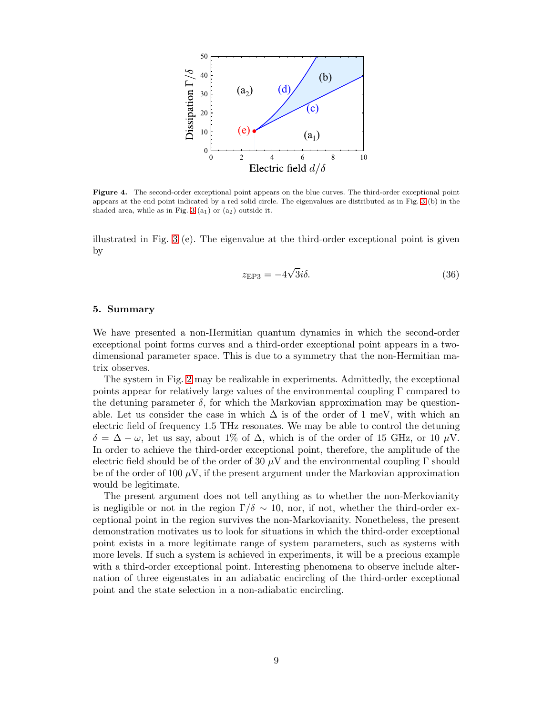

<span id="page-8-0"></span>Figure 4. The second-order exceptional point appears on the blue curves. The third-order exceptional point appears at the end point indicated by a red solid circle. The eigenvalues are distributed as in Fig. [3](#page-7-0) (b) in the shaded area, while as in Fig. [3](#page-7-0)  $(a_1)$  or  $(a_2)$  outside it.

illustrated in Fig. [3](#page-7-0) (e). The eigenvalue at the third-order exceptional point is given by

$$
z_{\rm EP3} = -4\sqrt{3}i\delta. \tag{36}
$$

### 5. Summary

We have presented a non-Hermitian quantum dynamics in which the second-order exceptional point forms curves and a third-order exceptional point appears in a twodimensional parameter space. This is due to a symmetry that the non-Hermitian matrix observes.

The system in Fig. [2](#page-3-0) may be realizable in experiments. Admittedly, the exceptional points appear for relatively large values of the environmental coupling  $\Gamma$  compared to the detuning parameter  $\delta$ , for which the Markovian approximation may be questionable. Let us consider the case in which  $\Delta$  is of the order of 1 meV, with which an electric field of frequency 1.5 THz resonates. We may be able to control the detuning  $\delta = \Delta - \omega$ , let us say, about 1% of  $\Delta$ , which is of the order of 15 GHz, or 10  $\mu$ V. In order to achieve the third-order exceptional point, therefore, the amplitude of the electric field should be of the order of 30  $\mu$ V and the environmental coupling Γ should be of the order of 100  $\mu$ V, if the present argument under the Markovian approximation would be legitimate.

The present argument does not tell anything as to whether the non-Merkovianity is negligible or not in the region  $\Gamma/\delta \sim 10$ , nor, if not, whether the third-order exceptional point in the region survives the non-Markovianity. Nonetheless, the present demonstration motivates us to look for situations in which the third-order exceptional point exists in a more legitimate range of system parameters, such as systems with more levels. If such a system is achieved in experiments, it will be a precious example with a third-order exceptional point. Interesting phenomena to observe include alternation of three eigenstates in an adiabatic encircling of the third-order exceptional point and the state selection in a non-adiabatic encircling.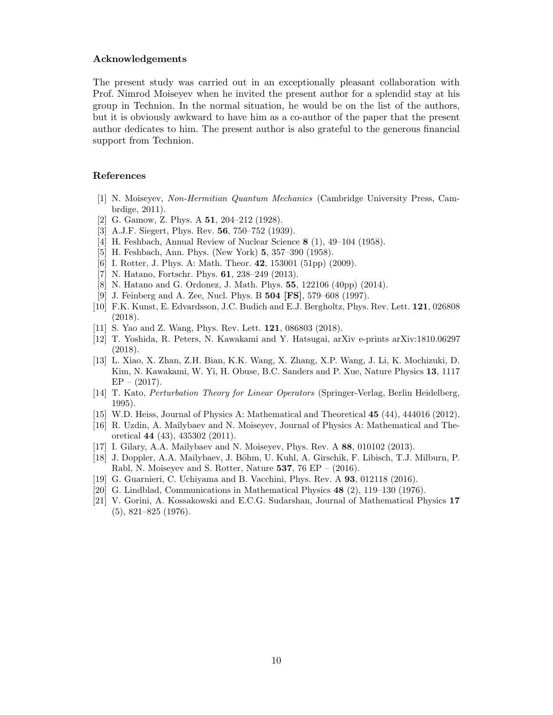## Acknowledgements

The present study was carried out in an exceptionally pleasant collaboration with Prof. Nimrod Moiseyev when he invited the present author for a splendid stay at his group in Technion. In the normal situation, he would be on the list of the authors, but it is obviously awkward to have him as a co-author of the paper that the present author dedicates to him. The present author is also grateful to the generous financial support from Technion.

## References

- <span id="page-9-0"></span>[1] N. Moiseyev, Non-Hermitian Quantum Mechanics (Cambridge University Press, Cambrdige, 2011).
- <span id="page-9-1"></span>[2] G. Gamow, Z. Phys. A **51**, 204-212 (1928).
- <span id="page-9-2"></span>[3] A.J.F. Siegert, Phys. Rev. **56**, 750–752 (1939).
- <span id="page-9-3"></span>[4] H. Feshbach, Annual Review of Nuclear Science 8 (1), 49–104 (1958).
- <span id="page-9-4"></span>[5] H. Feshbach, Ann. Phys. (New York) 5, 357–390 (1958).
- <span id="page-9-5"></span>[6] I. Rotter, J. Phys. A: Math. Theor. **42**, 153001 (51pp) (2009).
- <span id="page-9-6"></span>[7] N. Hatano, Fortschr. Phys. **61**, 238–249 (2013).
- <span id="page-9-7"></span>[8] N. Hatano and G. Ordonez, J. Math. Phys. 55, 122106 (40pp) (2014).
- <span id="page-9-8"></span>[9] J. Feinberg and A. Zee, Nucl. Phys. B 504 [FS], 579–608 (1997).
- <span id="page-9-9"></span>[10] F.K. Kunst, E. Edvardsson, J.C. Budich and E.J. Bergholtz, Phys. Rev. Lett. 121, 026808 (2018).
- [11] S. Yao and Z. Wang, Phys. Rev. Lett. 121, 086803 (2018).
- <span id="page-9-10"></span>[12] T. Yoshida, R. Peters, N. Kawakami and Y. Hatsugai, arXiv e-prints arXiv:1810.06297 (2018).
- <span id="page-9-11"></span>[13] L. Xiao, X. Zhan, Z.H. Bian, K.K. Wang, X. Zhang, X.P. Wang, J. Li, K. Mochizuki, D. Kim, N. Kawakami, W. Yi, H. Obuse, B.C. Sanders and P. Xue, Nature Physics 13, 1117  $EP - (2017)$ .
- <span id="page-9-12"></span>[14] T. Kato, Perturbation Theory for Linear Operators (Springer-Verlag, Berlin Heidelberg, 1995).
- <span id="page-9-13"></span>[15] W.D. Heiss, Journal of Physics A: Mathematical and Theoretical 45 (44), 444016 (2012).
- <span id="page-9-14"></span>[16] R. Uzdin, A. Mailybaev and N. Moiseyev, Journal of Physics A: Mathematical and Theoretical 44 (43), 435302 (2011).
- [17] I. Gilary, A.A. Mailybaev and N. Moiseyev, Phys. Rev. A 88, 010102 (2013).
- <span id="page-9-15"></span>[18] J. Doppler, A.A. Mailybaev, J. Böhm, U. Kuhl, A. Girschik, F. Libisch, T.J. Milburn, P. Rabl, N. Moiseyev and S. Rotter, Nature 537, 76 EP –  $(2016)$ .
- <span id="page-9-16"></span>[19] G. Guarnieri, C. Uchiyama and B. Vacchini, Phys. Rev. A 93, 012118 (2016).
- <span id="page-9-17"></span>[20] G. Lindblad, Communications in Mathematical Physics 48 (2), 119–130 (1976).
- <span id="page-9-18"></span>[21] V. Gorini, A. Kossakowski and E.C.G. Sudarshan, Journal of Mathematical Physics 17 (5), 821–825 (1976).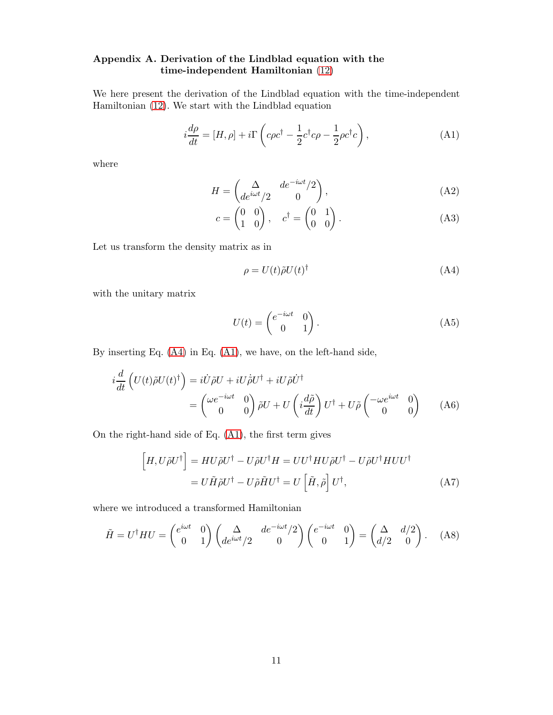# <span id="page-10-0"></span>Appendix A. Derivation of the Lindblad equation with the time-independent Hamiltonian [\(12\)](#page-4-0)

We here present the derivation of the Lindblad equation with the time-independent Hamiltonian [\(12\)](#page-4-0). We start with the Lindblad equation

$$
i\frac{d\rho}{dt} = [H,\rho] + i\Gamma \left( c\rho c^{\dagger} - \frac{1}{2}c^{\dagger}c\rho - \frac{1}{2}\rho c^{\dagger}c \right),\tag{A1}
$$

where

<span id="page-10-2"></span>
$$
H = \begin{pmatrix} \Delta & de^{-i\omega t}/2 \\ de^{i\omega t}/2 & 0 \end{pmatrix},
$$
 (A2)

$$
c = \begin{pmatrix} 0 & 0 \\ 1 & 0 \end{pmatrix}, \quad c^{\dagger} = \begin{pmatrix} 0 & 1 \\ 0 & 0 \end{pmatrix}.
$$
 (A3)

Let us transform the density matrix as in

<span id="page-10-4"></span><span id="page-10-1"></span>
$$
\rho = U(t)\tilde{\rho}U(t)^{\dagger} \tag{A4}
$$

with the unitary matrix

<span id="page-10-3"></span>
$$
U(t) = \begin{pmatrix} e^{-i\omega t} & 0\\ 0 & 1 \end{pmatrix}.
$$
 (A5)

By inserting Eq. [\(A4\)](#page-10-1) in Eq. [\(A1\)](#page-10-2), we have, on the left-hand side,

$$
i\frac{d}{dt}\left(U(t)\tilde{\rho}U(t)^{\dagger}\right) = i\dot{U}\tilde{\rho}U + iU\dot{\tilde{\rho}}U^{\dagger} + iU\tilde{\rho}\dot{U}^{\dagger}
$$

$$
= \begin{pmatrix} \omega e^{-i\omega t} & 0\\ 0 & 0 \end{pmatrix} \tilde{\rho}U + U\left(i\frac{d\tilde{\rho}}{dt}\right)U^{\dagger} + U\tilde{\rho}\begin{pmatrix} -\omega e^{i\omega t} & 0\\ 0 & 0 \end{pmatrix} \tag{A6}
$$

On the right-hand side of Eq. [\(A1\)](#page-10-2), the first term gives

$$
\begin{aligned}\n[H, U\tilde{\rho}U^{\dagger}\n] &= HU\tilde{\rho}U^{\dagger} - U\tilde{\rho}U^{\dagger}H = UU^{\dagger}HU\tilde{\rho}U^{\dagger} - U\tilde{\rho}U^{\dagger}HUU^{\dagger} \\
&= U\tilde{H}\tilde{\rho}U^{\dagger} - U\tilde{\rho}\tilde{H}U^{\dagger} = U\left[\tilde{H}, \tilde{\rho}\right]U^{\dagger},\n\end{aligned} \tag{A7}
$$

where we introduced a transformed Hamiltonian

$$
\tilde{H} = U^{\dagger} H U = \begin{pmatrix} e^{i\omega t} & 0 \\ 0 & 1 \end{pmatrix} \begin{pmatrix} \Delta & de^{-i\omega t}/2 \\ de^{i\omega t}/2 & 0 \end{pmatrix} \begin{pmatrix} e^{-i\omega t} & 0 \\ 0 & 1 \end{pmatrix} = \begin{pmatrix} \Delta & d/2 \\ d/2 & 0 \end{pmatrix}.
$$
 (A8)